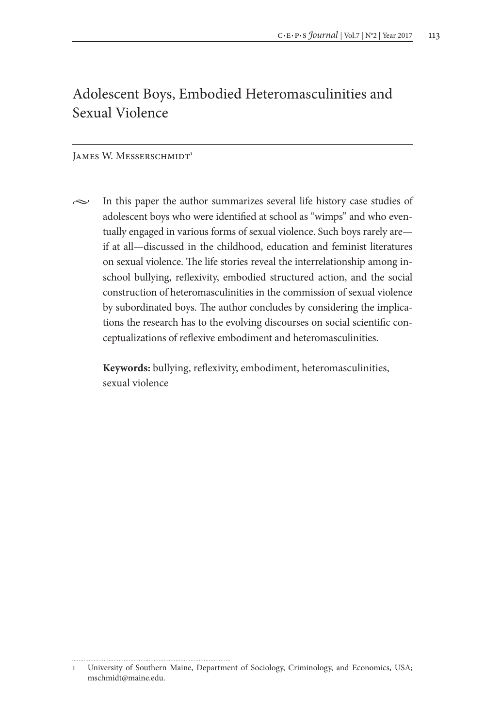# Adolescent Boys, Embodied Heteromasculinities and Sexual Violence

#### JAMES W. MESSERSCHMIDT<sup>1</sup>

 $\sim$  In this paper the author summarizes several life history case studies of adolescent boys who were identified at school as "wimps" and who eventually engaged in various forms of sexual violence. Such boys rarely are if at all—discussed in the childhood, education and feminist literatures on sexual violence. The life stories reveal the interrelationship among inschool bullying, reflexivity, embodied structured action, and the social construction of heteromasculinities in the commission of sexual violence by subordinated boys. The author concludes by considering the implications the research has to the evolving discourses on social scientific conceptualizations of reflexive embodiment and heteromasculinities.

**Keywords:** bullying, reflexivity, embodiment, heteromasculinities, sexual violence

<sup>1</sup> University of Southern Maine, Department of Sociology, Criminology, and Economics, USA; mschmidt@maine.edu.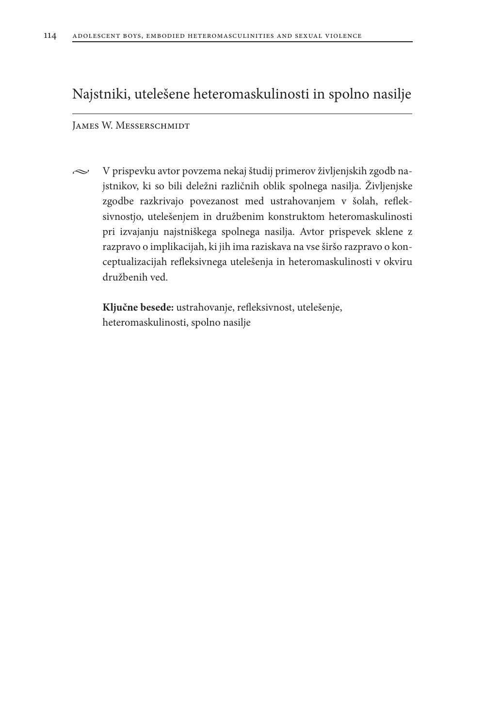## Najstniki, utelešene heteromaskulinosti in spolno nasilje

#### James W. Messerschmidt

 $\sim$  V prispevku avtor povzema nekaj študij primerov življenjskih zgodb najstnikov, ki so bili deležni različnih oblik spolnega nasilja. Življenjske zgodbe razkrivajo povezanost med ustrahovanjem v šolah, refleksivnostjo, utelešenjem in družbenim konstruktom heteromaskulinosti pri izvajanju najstniškega spolnega nasilja. Avtor prispevek sklene z razpravo o implikacijah, ki jih ima raziskava na vse širšo razpravo o konceptualizacijah refleksivnega utelešenja in heteromaskulinosti v okviru družbenih ved.

**Ključne besede:** ustrahovanje, refleksivnost, utelešenje, heteromaskulinosti, spolno nasilje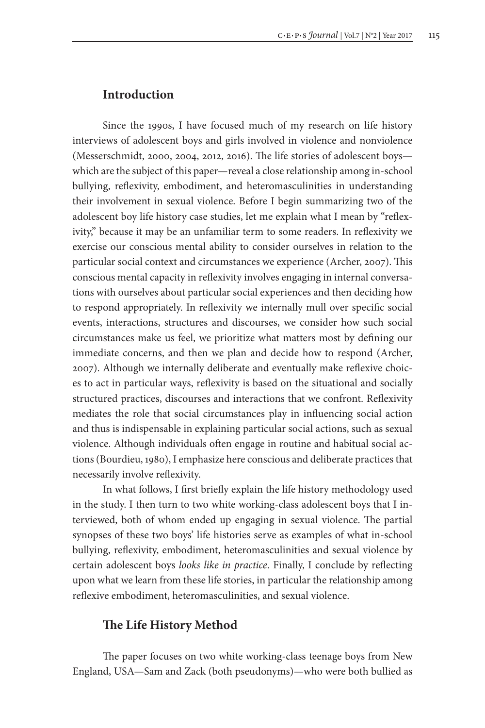### **Introduction**

Since the 1990s, I have focused much of my research on life history interviews of adolescent boys and girls involved in violence and nonviolence (Messerschmidt, 2000, 2004, 2012, 2016). The life stories of adolescent boys which are the subject of this paper—reveal a close relationship among in-school bullying, reflexivity, embodiment, and heteromasculinities in understanding their involvement in sexual violence. Before I begin summarizing two of the adolescent boy life history case studies, let me explain what I mean by "reflexivity," because it may be an unfamiliar term to some readers. In reflexivity we exercise our conscious mental ability to consider ourselves in relation to the particular social context and circumstances we experience (Archer, 2007). This conscious mental capacity in reflexivity involves engaging in internal conversations with ourselves about particular social experiences and then deciding how to respond appropriately. In reflexivity we internally mull over specific social events, interactions, structures and discourses, we consider how such social circumstances make us feel, we prioritize what matters most by defining our immediate concerns, and then we plan and decide how to respond (Archer, 2007). Although we internally deliberate and eventually make reflexive choices to act in particular ways, reflexivity is based on the situational and socially structured practices, discourses and interactions that we confront. Reflexivity mediates the role that social circumstances play in influencing social action and thus is indispensable in explaining particular social actions, such as sexual violence. Although individuals often engage in routine and habitual social actions (Bourdieu, 1980), I emphasize here conscious and deliberate practices that necessarily involve reflexivity.

In what follows, I first briefly explain the life history methodology used in the study. I then turn to two white working-class adolescent boys that I interviewed, both of whom ended up engaging in sexual violence. The partial synopses of these two boys' life histories serve as examples of what in-school bullying, reflexivity, embodiment, heteromasculinities and sexual violence by certain adolescent boys *looks like in practice*. Finally, I conclude by reflecting upon what we learn from these life stories, in particular the relationship among reflexive embodiment, heteromasculinities, and sexual violence.

## **The Life History Method**

The paper focuses on two white working-class teenage boys from New England, USA—Sam and Zack (both pseudonyms)—who were both bullied as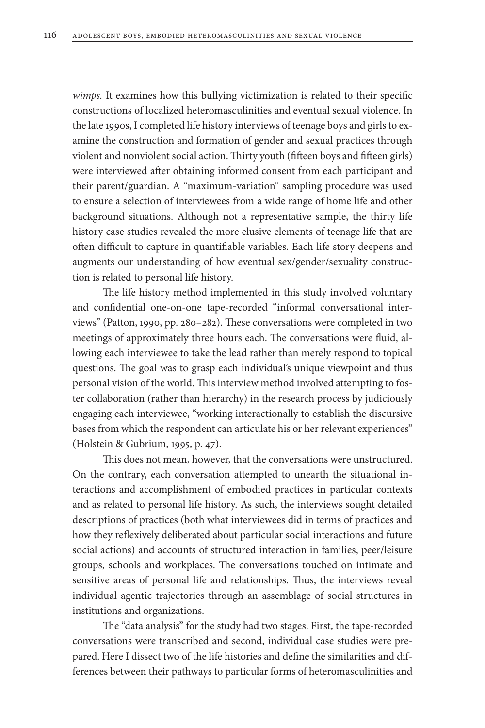*wimps.* It examines how this bullying victimization is related to their specific constructions of localized heteromasculinities and eventual sexual violence. In the late 1990s, I completed life history interviews of teenage boys and girls to examine the construction and formation of gender and sexual practices through violent and nonviolent social action. Thirty youth (fifteen boys and fifteen girls) were interviewed after obtaining informed consent from each participant and their parent/guardian. A "maximum-variation" sampling procedure was used to ensure a selection of interviewees from a wide range of home life and other background situations. Although not a representative sample, the thirty life history case studies revealed the more elusive elements of teenage life that are often difficult to capture in quantifiable variables. Each life story deepens and augments our understanding of how eventual sex/gender/sexuality construction is related to personal life history.

The life history method implemented in this study involved voluntary and confidential one-on-one tape-recorded "informal conversational interviews" (Patton, 1990, pp. 280–282). These conversations were completed in two meetings of approximately three hours each. The conversations were fluid, allowing each interviewee to take the lead rather than merely respond to topical questions. The goal was to grasp each individual's unique viewpoint and thus personal vision of the world. This interview method involved attempting to foster collaboration (rather than hierarchy) in the research process by judiciously engaging each interviewee, "working interactionally to establish the discursive bases from which the respondent can articulate his or her relevant experiences" (Holstein & Gubrium, 1995, p. 47).

This does not mean, however, that the conversations were unstructured. On the contrary, each conversation attempted to unearth the situational interactions and accomplishment of embodied practices in particular contexts and as related to personal life history. As such, the interviews sought detailed descriptions of practices (both what interviewees did in terms of practices and how they reflexively deliberated about particular social interactions and future social actions) and accounts of structured interaction in families, peer/leisure groups, schools and workplaces. The conversations touched on intimate and sensitive areas of personal life and relationships. Thus, the interviews reveal individual agentic trajectories through an assemblage of social structures in institutions and organizations.

The "data analysis" for the study had two stages. First, the tape-recorded conversations were transcribed and second, individual case studies were prepared. Here I dissect two of the life histories and define the similarities and differences between their pathways to particular forms of heteromasculinities and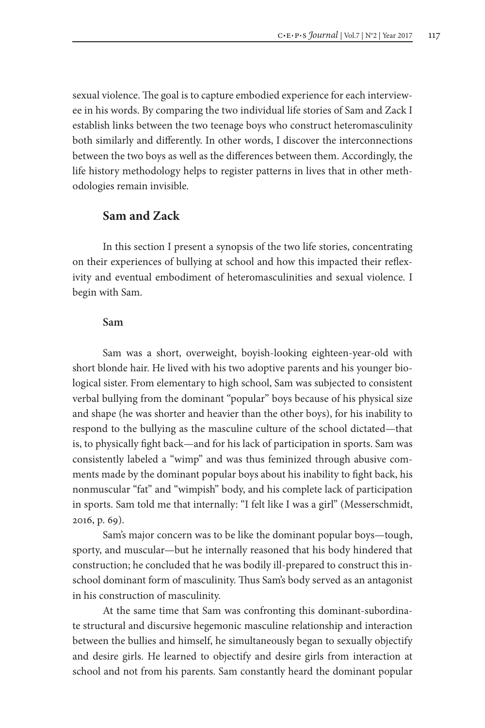sexual violence. The goal is to capture embodied experience for each interviewee in his words. By comparing the two individual life stories of Sam and Zack I establish links between the two teenage boys who construct heteromasculinity both similarly and differently. In other words, I discover the interconnections between the two boys as well as the differences between them. Accordingly, the life history methodology helps to register patterns in lives that in other methodologies remain invisible.

### **Sam and Zack**

In this section I present a synopsis of the two life stories, concentrating on their experiences of bullying at school and how this impacted their reflexivity and eventual embodiment of heteromasculinities and sexual violence. I begin with Sam.

#### **Sam**

Sam was a short, overweight, boyish-looking eighteen-year-old with short blonde hair. He lived with his two adoptive parents and his younger biological sister. From elementary to high school, Sam was subjected to consistent verbal bullying from the dominant "popular" boys because of his physical size and shape (he was shorter and heavier than the other boys), for his inability to respond to the bullying as the masculine culture of the school dictated—that is, to physically fight back—and for his lack of participation in sports. Sam was consistently labeled a "wimp" and was thus feminized through abusive comments made by the dominant popular boys about his inability to fight back, his nonmuscular "fat" and "wimpish" body, and his complete lack of participation in sports. Sam told me that internally: "I felt like I was a girl" (Messerschmidt, 2016, p. 69).

Sam's major concern was to be like the dominant popular boys—tough, sporty, and muscular—but he internally reasoned that his body hindered that construction; he concluded that he was bodily ill-prepared to construct this inschool dominant form of masculinity. Thus Sam's body served as an antagonist in his construction of masculinity.

At the same time that Sam was confronting this dominant-subordinate structural and discursive hegemonic masculine relationship and interaction between the bullies and himself, he simultaneously began to sexually objectify and desire girls. He learned to objectify and desire girls from interaction at school and not from his parents. Sam constantly heard the dominant popular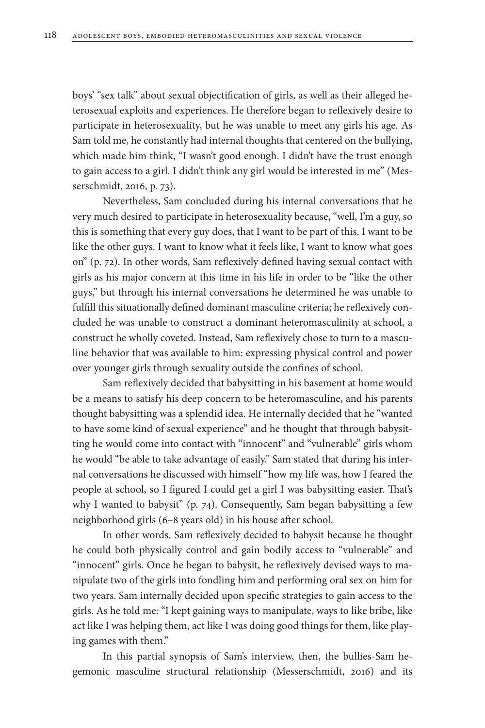boys' "sex talk" about sexual objectification of girls, as well as their alleged heterosexual exploits and experiences. He therefore began to reflexively desire to participate in heterosexuality, but he was unable to meet any girls his age. As Sam told me, he constantly had internal thoughts that centered on the bullying, which made him think, "I wasn't good enough. I didn't have the trust enough to gain access to a girl. I didn't think any girl would be interested in me" (Messerschmidt, 2016, p. 73).

Nevertheless, Sam concluded during his internal conversations that he very much desired to participate in heterosexuality because, "well, I'm a guy, so this is something that every guy does, that I want to be part of this. I want to be like the other guys. I want to know what it feels like, I want to know what goes on" (p. 72). In other words, Sam reflexively defined having sexual contact with girls as his major concern at this time in his life in order to be "like the other guys," but through his internal conversations he determined he was unable to fulfill this situationally defined dominant masculine criteria; he reflexively concluded he was unable to construct a dominant heteromasculinity at school, a construct he wholly coveted. Instead, Sam reflexively chose to turn to a masculine behavior that was available to him: expressing physical control and power over younger girls through sexuality outside the confines of school.

Sam reflexively decided that babysitting in his basement at home would be a means to satisfy his deep concern to be heteromasculine, and his parents thought babysitting was a splendid idea. He internally decided that he "wanted to have some kind of sexual experience" and he thought that through babysitting he would come into contact with "innocent" and "vulnerable" girls whom he would "be able to take advantage of easily." Sam stated that during his internal conversations he discussed with himself "how my life was, how I feared the people at school, so I figured I could get a girl I was babysitting easier. That's why I wanted to babysit" (p. 74). Consequently, Sam began babysitting a few neighborhood girls (6–8 years old) in his house after school.

In other words, Sam reflexively decided to babysit because he thought he could both physically control and gain bodily access to "vulnerable" and "innocent" girls. Once he began to babysit, he reflexively devised ways to manipulate two of the girls into fondling him and performing oral sex on him for two years. Sam internally decided upon specific strategies to gain access to the girls. As he told me: "I kept gaining ways to manipulate, ways to like bribe, like act like I was helping them, act like I was doing good things for them, like playing games with them."

In this partial synopsis of Sam's interview, then, the bullies-Sam hegemonic masculine structural relationship (Messerschmidt, 2016) and its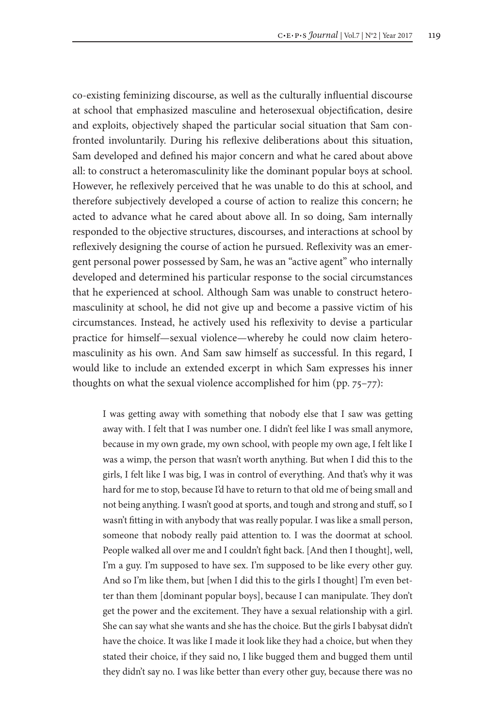co-existing feminizing discourse, as well as the culturally influential discourse at school that emphasized masculine and heterosexual objectification, desire and exploits, objectively shaped the particular social situation that Sam confronted involuntarily. During his reflexive deliberations about this situation, Sam developed and defined his major concern and what he cared about above all: to construct a heteromasculinity like the dominant popular boys at school. However, he reflexively perceived that he was unable to do this at school, and therefore subjectively developed a course of action to realize this concern; he acted to advance what he cared about above all. In so doing, Sam internally responded to the objective structures, discourses, and interactions at school by reflexively designing the course of action he pursued. Reflexivity was an emergent personal power possessed by Sam, he was an "active agent" who internally developed and determined his particular response to the social circumstances that he experienced at school. Although Sam was unable to construct heteromasculinity at school, he did not give up and become a passive victim of his circumstances. Instead, he actively used his reflexivity to devise a particular practice for himself—sexual violence—whereby he could now claim heteromasculinity as his own. And Sam saw himself as successful. In this regard, I would like to include an extended excerpt in which Sam expresses his inner thoughts on what the sexual violence accomplished for him (pp. 75–77):

I was getting away with something that nobody else that I saw was getting away with. I felt that I was number one. I didn't feel like I was small anymore, because in my own grade, my own school, with people my own age, I felt like I was a wimp, the person that wasn't worth anything. But when I did this to the girls, I felt like I was big, I was in control of everything. And that's why it was hard for me to stop, because I'd have to return to that old me of being small and not being anything. I wasn't good at sports, and tough and strong and stuff, so I wasn't fitting in with anybody that was really popular. I was like a small person, someone that nobody really paid attention to. I was the doormat at school. People walked all over me and I couldn't fight back. [And then I thought], well, I'm a guy. I'm supposed to have sex. I'm supposed to be like every other guy. And so I'm like them, but [when I did this to the girls I thought] I'm even better than them [dominant popular boys], because I can manipulate. They don't get the power and the excitement. They have a sexual relationship with a girl. She can say what she wants and she has the choice. But the girls I babysat didn't have the choice. It was like I made it look like they had a choice, but when they stated their choice, if they said no, I like bugged them and bugged them until they didn't say no. I was like better than every other guy, because there was no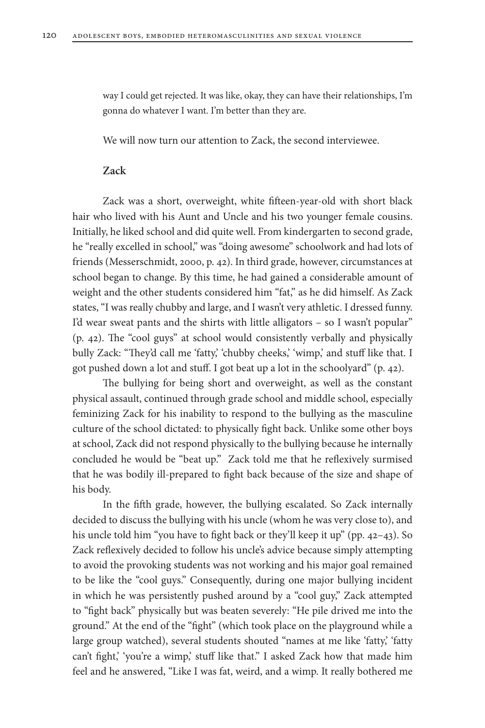way I could get rejected. It was like, okay, they can have their relationships, I'm gonna do whatever I want. I'm better than they are.

We will now turn our attention to Zack, the second interviewee.

#### **Zack**

Zack was a short, overweight, white fifteen-year-old with short black hair who lived with his Aunt and Uncle and his two younger female cousins. Initially, he liked school and did quite well. From kindergarten to second grade, he "really excelled in school," was "doing awesome" schoolwork and had lots of friends (Messerschmidt, 2000, p. 42). In third grade, however, circumstances at school began to change. By this time, he had gained a considerable amount of weight and the other students considered him "fat," as he did himself. As Zack states, "I was really chubby and large, and I wasn't very athletic. I dressed funny. I'd wear sweat pants and the shirts with little alligators – so I wasn't popular" (p. 42). The "cool guys" at school would consistently verbally and physically bully Zack: "They'd call me 'fatty,' 'chubby cheeks,' 'wimp,' and stuff like that. I got pushed down a lot and stuff. I got beat up a lot in the schoolyard" (p. 42).

The bullying for being short and overweight, as well as the constant physical assault, continued through grade school and middle school, especially feminizing Zack for his inability to respond to the bullying as the masculine culture of the school dictated: to physically fight back. Unlike some other boys at school, Zack did not respond physically to the bullying because he internally concluded he would be "beat up." Zack told me that he reflexively surmised that he was bodily ill-prepared to fight back because of the size and shape of his body.

In the fifth grade, however, the bullying escalated. So Zack internally decided to discuss the bullying with his uncle (whom he was very close to), and his uncle told him "you have to fight back or they'll keep it up" (pp. 42–43). So Zack reflexively decided to follow his uncle's advice because simply attempting to avoid the provoking students was not working and his major goal remained to be like the "cool guys." Consequently, during one major bullying incident in which he was persistently pushed around by a "cool guy," Zack attempted to "fight back" physically but was beaten severely: "He pile drived me into the ground." At the end of the "fight" (which took place on the playground while a large group watched), several students shouted "names at me like 'fatty,' 'fatty can't fight,' 'you're a wimp,' stuff like that." I asked Zack how that made him feel and he answered, "Like I was fat, weird, and a wimp. It really bothered me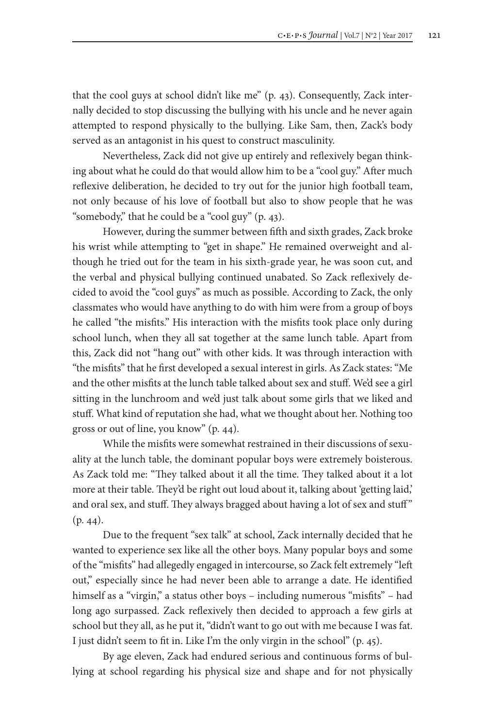that the cool guys at school didn't like me" (p. 43). Consequently, Zack internally decided to stop discussing the bullying with his uncle and he never again attempted to respond physically to the bullying. Like Sam, then, Zack's body served as an antagonist in his quest to construct masculinity.

Nevertheless, Zack did not give up entirely and reflexively began thinking about what he could do that would allow him to be a "cool guy." After much reflexive deliberation, he decided to try out for the junior high football team, not only because of his love of football but also to show people that he was "somebody," that he could be a "cool guy" (p. 43).

However, during the summer between fifth and sixth grades, Zack broke his wrist while attempting to "get in shape." He remained overweight and although he tried out for the team in his sixth-grade year, he was soon cut, and the verbal and physical bullying continued unabated. So Zack reflexively decided to avoid the "cool guys" as much as possible. According to Zack, the only classmates who would have anything to do with him were from a group of boys he called "the misfits." His interaction with the misfits took place only during school lunch, when they all sat together at the same lunch table. Apart from this, Zack did not "hang out" with other kids. It was through interaction with "the misfits" that he first developed a sexual interest in girls. As Zack states: "Me and the other misfits at the lunch table talked about sex and stuff. We'd see a girl sitting in the lunchroom and we'd just talk about some girls that we liked and stuff. What kind of reputation she had, what we thought about her. Nothing too gross or out of line, you know" (p. 44).

While the misfits were somewhat restrained in their discussions of sexuality at the lunch table, the dominant popular boys were extremely boisterous. As Zack told me: "They talked about it all the time. They talked about it a lot more at their table. They'd be right out loud about it, talking about 'getting laid,' and oral sex, and stuff. They always bragged about having a lot of sex and stuff " (p. 44).

Due to the frequent "sex talk" at school, Zack internally decided that he wanted to experience sex like all the other boys. Many popular boys and some of the "misfits" had allegedly engaged in intercourse, so Zack felt extremely "left out," especially since he had never been able to arrange a date. He identified himself as a "virgin," a status other boys – including numerous "misfits" – had long ago surpassed. Zack reflexively then decided to approach a few girls at school but they all, as he put it, "didn't want to go out with me because I was fat. I just didn't seem to fit in. Like I'm the only virgin in the school" (p. 45).

By age eleven, Zack had endured serious and continuous forms of bullying at school regarding his physical size and shape and for not physically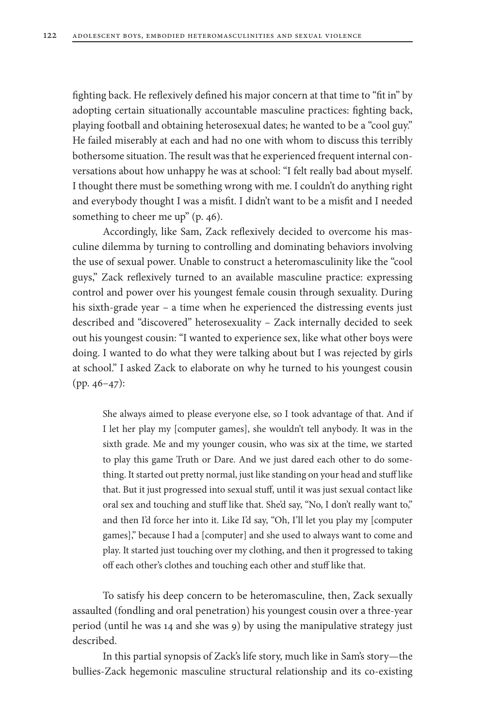fighting back. He reflexively defined his major concern at that time to "fit in" by adopting certain situationally accountable masculine practices: fighting back, playing football and obtaining heterosexual dates; he wanted to be a "cool guy." He failed miserably at each and had no one with whom to discuss this terribly bothersome situation. The result was that he experienced frequent internal conversations about how unhappy he was at school: "I felt really bad about myself. I thought there must be something wrong with me. I couldn't do anything right and everybody thought I was a misfit. I didn't want to be a misfit and I needed something to cheer me up" (p. 46).

Accordingly, like Sam, Zack reflexively decided to overcome his masculine dilemma by turning to controlling and dominating behaviors involving the use of sexual power. Unable to construct a heteromasculinity like the "cool guys," Zack reflexively turned to an available masculine practice: expressing control and power over his youngest female cousin through sexuality. During his sixth-grade year – a time when he experienced the distressing events just described and "discovered" heterosexuality – Zack internally decided to seek out his youngest cousin: "I wanted to experience sex, like what other boys were doing. I wanted to do what they were talking about but I was rejected by girls at school." I asked Zack to elaborate on why he turned to his youngest cousin (pp. 46–47):

She always aimed to please everyone else, so I took advantage of that. And if I let her play my [computer games], she wouldn't tell anybody. It was in the sixth grade. Me and my younger cousin, who was six at the time, we started to play this game Truth or Dare. And we just dared each other to do something. It started out pretty normal, just like standing on your head and stuff like that. But it just progressed into sexual stuff, until it was just sexual contact like oral sex and touching and stuff like that. She'd say, "No, I don't really want to," and then I'd force her into it. Like I'd say, "Oh, I'll let you play my [computer games]," because I had a [computer] and she used to always want to come and play. It started just touching over my clothing, and then it progressed to taking off each other's clothes and touching each other and stuff like that.

To satisfy his deep concern to be heteromasculine, then, Zack sexually assaulted (fondling and oral penetration) his youngest cousin over a three-year period (until he was 14 and she was 9) by using the manipulative strategy just described.

In this partial synopsis of Zack's life story, much like in Sam's story—the bullies-Zack hegemonic masculine structural relationship and its co-existing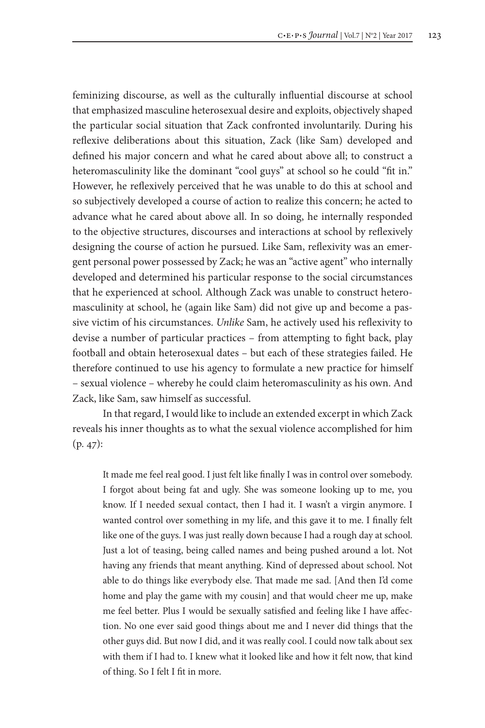feminizing discourse, as well as the culturally influential discourse at school that emphasized masculine heterosexual desire and exploits, objectively shaped the particular social situation that Zack confronted involuntarily. During his reflexive deliberations about this situation, Zack (like Sam) developed and defined his major concern and what he cared about above all; to construct a heteromasculinity like the dominant "cool guys" at school so he could "fit in." However, he reflexively perceived that he was unable to do this at school and so subjectively developed a course of action to realize this concern; he acted to advance what he cared about above all. In so doing, he internally responded to the objective structures, discourses and interactions at school by reflexively designing the course of action he pursued. Like Sam, reflexivity was an emergent personal power possessed by Zack; he was an "active agent" who internally developed and determined his particular response to the social circumstances that he experienced at school. Although Zack was unable to construct heteromasculinity at school, he (again like Sam) did not give up and become a passive victim of his circumstances. *Unlike* Sam, he actively used his reflexivity to devise a number of particular practices – from attempting to fight back, play football and obtain heterosexual dates – but each of these strategies failed. He therefore continued to use his agency to formulate a new practice for himself – sexual violence – whereby he could claim heteromasculinity as his own. And Zack, like Sam, saw himself as successful.

In that regard, I would like to include an extended excerpt in which Zack reveals his inner thoughts as to what the sexual violence accomplished for him (p. 47):

It made me feel real good. I just felt like finally I was in control over somebody. I forgot about being fat and ugly. She was someone looking up to me, you know. If I needed sexual contact, then I had it. I wasn't a virgin anymore. I wanted control over something in my life, and this gave it to me. I finally felt like one of the guys. I was just really down because I had a rough day at school. Just a lot of teasing, being called names and being pushed around a lot. Not having any friends that meant anything. Kind of depressed about school. Not able to do things like everybody else. That made me sad. [And then I'd come home and play the game with my cousin] and that would cheer me up, make me feel better. Plus I would be sexually satisfied and feeling like I have affection. No one ever said good things about me and I never did things that the other guys did. But now I did, and it was really cool. I could now talk about sex with them if I had to. I knew what it looked like and how it felt now, that kind of thing. So I felt I fit in more.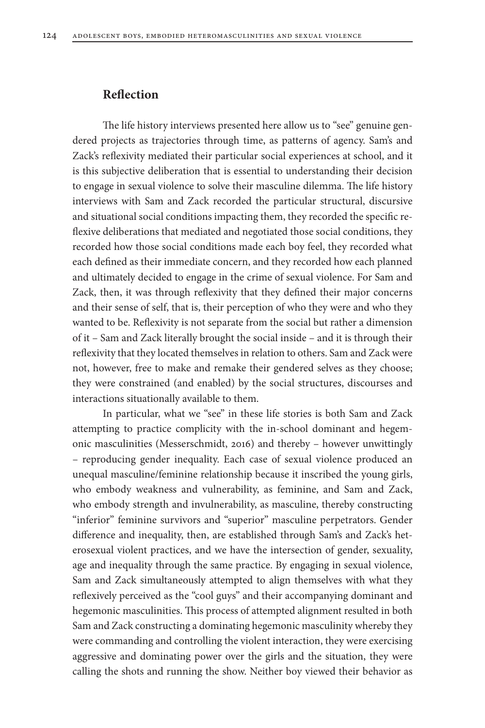### **Reflection**

The life history interviews presented here allow us to "see" genuine gendered projects as trajectories through time, as patterns of agency. Sam's and Zack's reflexivity mediated their particular social experiences at school, and it is this subjective deliberation that is essential to understanding their decision to engage in sexual violence to solve their masculine dilemma. The life history interviews with Sam and Zack recorded the particular structural, discursive and situational social conditions impacting them, they recorded the specific reflexive deliberations that mediated and negotiated those social conditions, they recorded how those social conditions made each boy feel, they recorded what each defined as their immediate concern, and they recorded how each planned and ultimately decided to engage in the crime of sexual violence. For Sam and Zack, then, it was through reflexivity that they defined their major concerns and their sense of self, that is, their perception of who they were and who they wanted to be. Reflexivity is not separate from the social but rather a dimension of it – Sam and Zack literally brought the social inside – and it is through their reflexivity that they located themselves in relation to others. Sam and Zack were not, however, free to make and remake their gendered selves as they choose; they were constrained (and enabled) by the social structures, discourses and interactions situationally available to them.

In particular, what we "see" in these life stories is both Sam and Zack attempting to practice complicity with the in-school dominant and hegemonic masculinities (Messerschmidt, 2016) and thereby – however unwittingly – reproducing gender inequality. Each case of sexual violence produced an unequal masculine/feminine relationship because it inscribed the young girls, who embody weakness and vulnerability, as feminine, and Sam and Zack, who embody strength and invulnerability, as masculine, thereby constructing "inferior" feminine survivors and "superior" masculine perpetrators. Gender difference and inequality, then, are established through Sam's and Zack's heterosexual violent practices, and we have the intersection of gender, sexuality, age and inequality through the same practice. By engaging in sexual violence, Sam and Zack simultaneously attempted to align themselves with what they reflexively perceived as the "cool guys" and their accompanying dominant and hegemonic masculinities. This process of attempted alignment resulted in both Sam and Zack constructing a dominating hegemonic masculinity whereby they were commanding and controlling the violent interaction, they were exercising aggressive and dominating power over the girls and the situation, they were calling the shots and running the show. Neither boy viewed their behavior as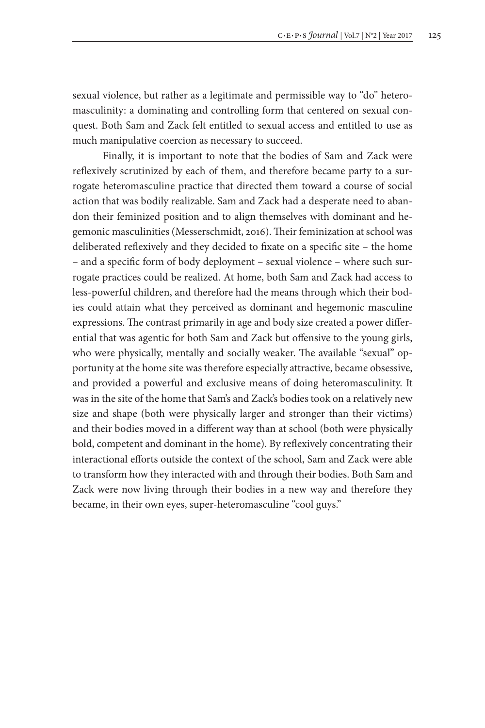sexual violence, but rather as a legitimate and permissible way to "do" heteromasculinity: a dominating and controlling form that centered on sexual conquest. Both Sam and Zack felt entitled to sexual access and entitled to use as much manipulative coercion as necessary to succeed.

Finally, it is important to note that the bodies of Sam and Zack were reflexively scrutinized by each of them, and therefore became party to a surrogate heteromasculine practice that directed them toward a course of social action that was bodily realizable. Sam and Zack had a desperate need to abandon their feminized position and to align themselves with dominant and hegemonic masculinities (Messerschmidt, 2016). Their feminization at school was deliberated reflexively and they decided to fixate on a specific site – the home – and a specific form of body deployment – sexual violence – where such surrogate practices could be realized. At home, both Sam and Zack had access to less-powerful children, and therefore had the means through which their bodies could attain what they perceived as dominant and hegemonic masculine expressions. The contrast primarily in age and body size created a power differential that was agentic for both Sam and Zack but offensive to the young girls, who were physically, mentally and socially weaker. The available "sexual" opportunity at the home site was therefore especially attractive, became obsessive, and provided a powerful and exclusive means of doing heteromasculinity. It was in the site of the home that Sam's and Zack's bodies took on a relatively new size and shape (both were physically larger and stronger than their victims) and their bodies moved in a different way than at school (both were physically bold, competent and dominant in the home). By reflexively concentrating their interactional efforts outside the context of the school, Sam and Zack were able to transform how they interacted with and through their bodies. Both Sam and Zack were now living through their bodies in a new way and therefore they became, in their own eyes, super-heteromasculine "cool guys."